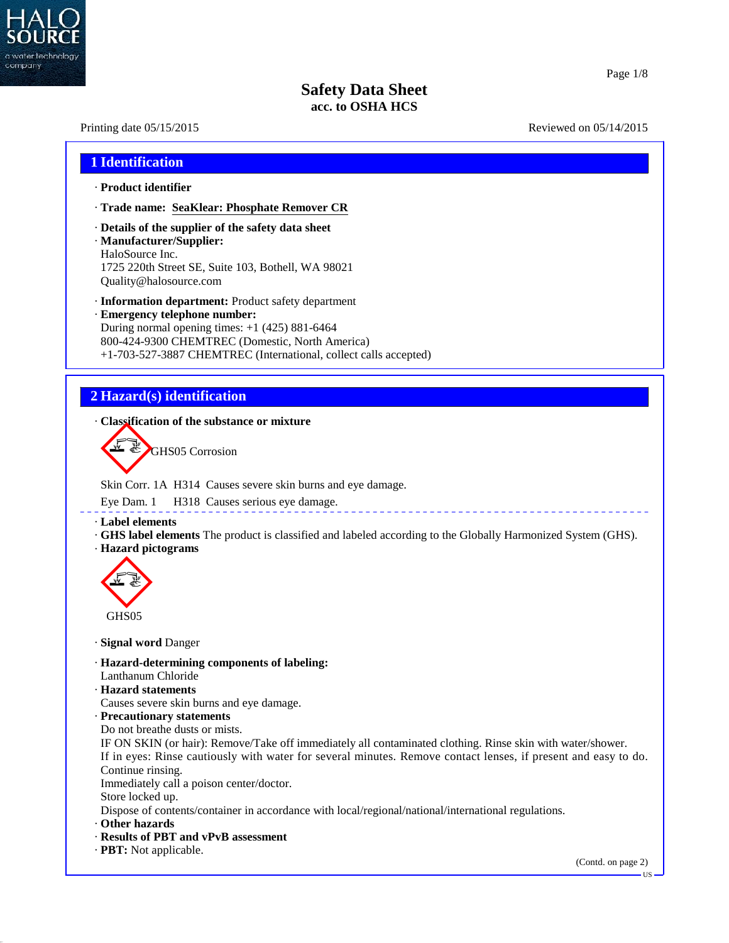

40.2.7

# **Safety Data Sheet acc. to OSHA HCS**

# Printing date 05/15/2015 Reviewed on 05/14/2015 **1 Identification** · **Product identifier** · **Trade name: SeaKlear: Phosphate Remover CR** · **Details of the supplier of the safety data sheet** · **Manufacturer/Supplier:** HaloSource Inc. 1725 220th Street SE, Suite 103, Bothell, WA 98021 Quality@halosource.com · **Information department:** Product safety department · **Emergency telephone number:** During normal opening times: +1 (425) 881-6464 800-424-9300 CHEMTREC (Domestic, North America) +1-703-527-3887 CHEMTREC (International, collect calls accepted) **2 Hazard(s) identification** · **Classification of the substance or mixture** GHS05 Corrosion Skin Corr. 1A H314 Causes severe skin burns and eye damage. Eye Dam. 1 H318 Causes serious eye damage. \_\_\_\_\_\_\_\_\_\_\_\_\_\_\_\_\_\_\_\_\_ · **Label elements** · **GHS label elements** The product is classified and labeled according to the Globally Harmonized System (GHS). · **Hazard pictograms** GHS05 · **Signal word** Danger · **Hazard-determining components of labeling:** Lanthanum Chloride · **Hazard statements** Causes severe skin burns and eye damage. · **Precautionary statements** Do not breathe dusts or mists. IF ON SKIN (or hair): Remove/Take off immediately all contaminated clothing. Rinse skin with water/shower. If in eyes: Rinse cautiously with water for several minutes. Remove contact lenses, if present and easy to do. Continue rinsing. Immediately call a poison center/doctor. Store locked up. Dispose of contents/container in accordance with local/regional/national/international regulations. · **Other hazards** · **Results of PBT and vPvB assessment** · **PBT:** Not applicable. (Contd. on page 2)US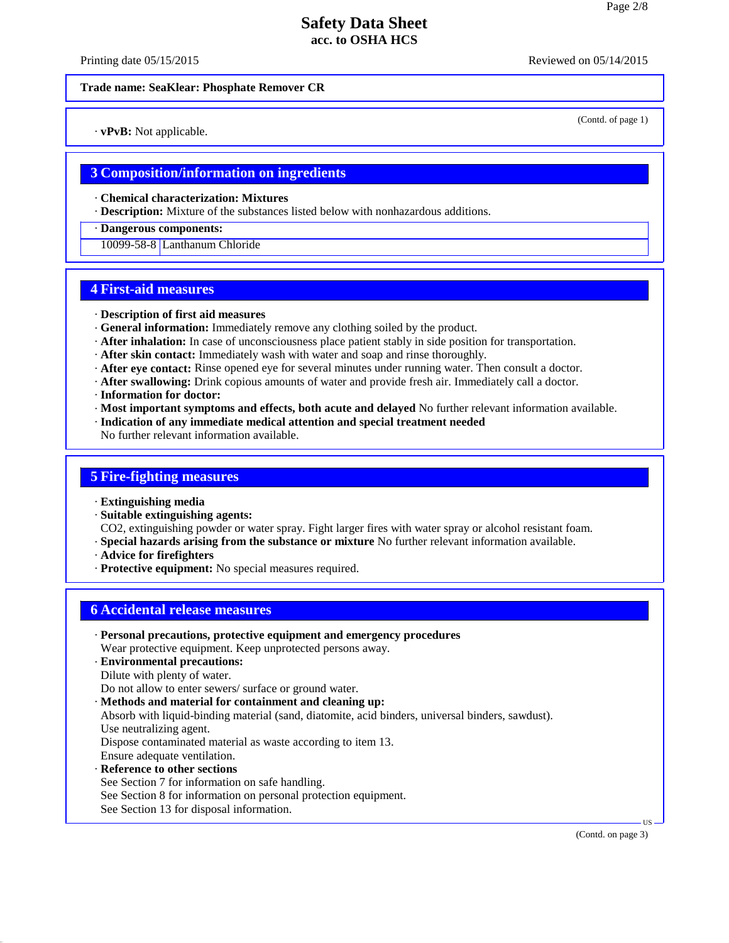Printing date 05/15/2015 **Reviewed on 05/14/2015** Reviewed on 05/14/2015

(Contd. of page 1)

#### **Trade name: SeaKlear: Phosphate Remover CR**

· **vPvB:** Not applicable.

#### **3 Composition/information on ingredients**

· **Chemical characterization: Mixtures**

· **Description:** Mixture of the substances listed below with nonhazardous additions.

#### · **Dangerous components:**

10099-58-8 Lanthanum Chloride

## **4 First-aid measures**

- · **Description of first aid measures**
- · **General information:** Immediately remove any clothing soiled by the product.
- · **After inhalation:** In case of unconsciousness place patient stably in side position for transportation.
- · **After skin contact:** Immediately wash with water and soap and rinse thoroughly.
- · **After eye contact:** Rinse opened eye for several minutes under running water. Then consult a doctor.
- · **After swallowing:** Drink copious amounts of water and provide fresh air. Immediately call a doctor.
- · **Information for doctor:**
- · **Most important symptoms and effects, both acute and delayed** No further relevant information available.
- · **Indication of any immediate medical attention and special treatment needed**

No further relevant information available.

#### **5 Fire-fighting measures**

- · **Extinguishing media**
- · **Suitable extinguishing agents:**

CO2, extinguishing powder or water spray. Fight larger fires with water spray or alcohol resistant foam.

- · **Special hazards arising from the substance or mixture** No further relevant information available.
- · **Advice for firefighters**
- · **Protective equipment:** No special measures required.

## **6 Accidental release measures**

- · **Personal precautions, protective equipment and emergency procedures**
- Wear protective equipment. Keep unprotected persons away.
- · **Environmental precautions:**
- Dilute with plenty of water.
- Do not allow to enter sewers/ surface or ground water.
- · **Methods and material for containment and cleaning up:**
- Absorb with liquid-binding material (sand, diatomite, acid binders, universal binders, sawdust). Use neutralizing agent.
- Dispose contaminated material as waste according to item 13.
- Ensure adequate ventilation.
- · **Reference to other sections**

40.2.7

- See Section 7 for information on safe handling.
- See Section 8 for information on personal protection equipment.
- See Section 13 for disposal information.

(Contd. on page 3)

 $\overline{\mathsf{US}}$   $\overline{\phantom{0}}$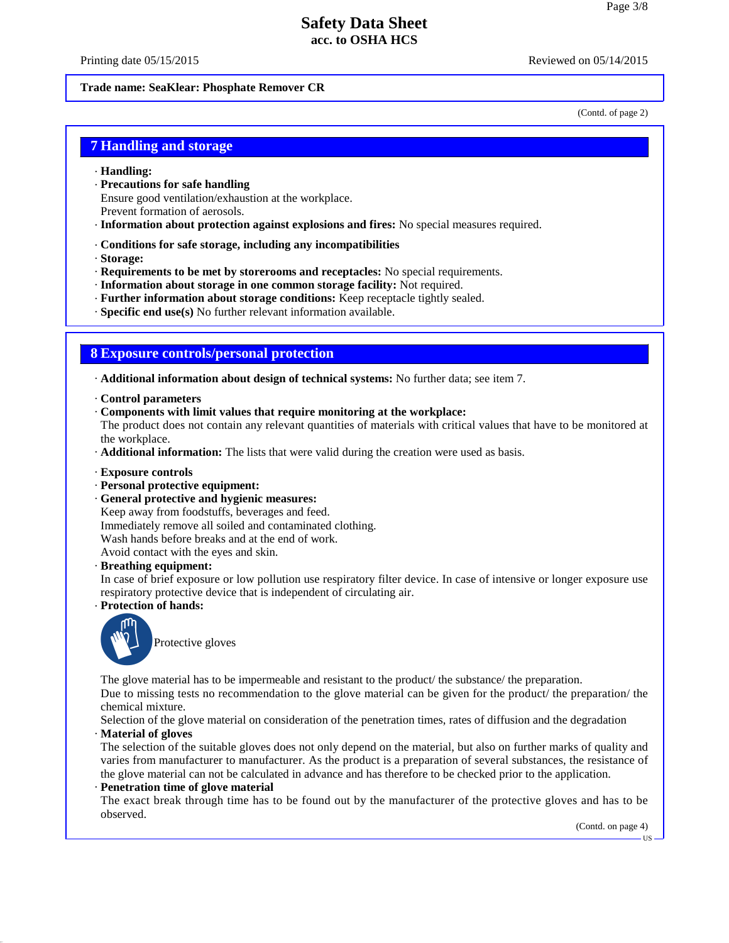Printing date 05/15/2015 **Reviewed on 05/14/2015** Reviewed on 05/14/2015

#### **Trade name: SeaKlear: Phosphate Remover CR**

(Contd. of page 2)

#### **7 Handling and storage**

- · **Handling:**
- · **Precautions for safe handling**
- Ensure good ventilation/exhaustion at the workplace.
- Prevent formation of aerosols.
- · **Information about protection against explosions and fires:** No special measures required.
- · **Conditions for safe storage, including any incompatibilities**
- · **Storage:**
- · **Requirements to be met by storerooms and receptacles:** No special requirements.
- · **Information about storage in one common storage facility:** Not required.
- · **Further information about storage conditions:** Keep receptacle tightly sealed.
- · **Specific end use(s)** No further relevant information available.

#### **8 Exposure controls/personal protection**

· **Additional information about design of technical systems:** No further data; see item 7.

- · **Control parameters**
- · **Components with limit values that require monitoring at the workplace:**

The product does not contain any relevant quantities of materials with critical values that have to be monitored at the workplace.

- · **Additional information:** The lists that were valid during the creation were used as basis.
- · **Exposure controls**
- · **Personal protective equipment:**
- · **General protective and hygienic measures:**

Keep away from foodstuffs, beverages and feed. Immediately remove all soiled and contaminated clothing. Wash hands before breaks and at the end of work. Avoid contact with the eyes and skin.

· **Breathing equipment:**

In case of brief exposure or low pollution use respiratory filter device. In case of intensive or longer exposure use respiratory protective device that is independent of circulating air.

· **Protection of hands:**



Protective gloves

The glove material has to be impermeable and resistant to the product/ the substance/ the preparation.

Due to missing tests no recommendation to the glove material can be given for the product/ the preparation/ the chemical mixture.

Selection of the glove material on consideration of the penetration times, rates of diffusion and the degradation

· **Material of gloves**

40.2.7

The selection of the suitable gloves does not only depend on the material, but also on further marks of quality and varies from manufacturer to manufacturer. As the product is a preparation of several substances, the resistance of the glove material can not be calculated in advance and has therefore to be checked prior to the application.

#### · **Penetration time of glove material**

The exact break through time has to be found out by the manufacturer of the protective gloves and has to be observed.

(Contd. on page 4)

US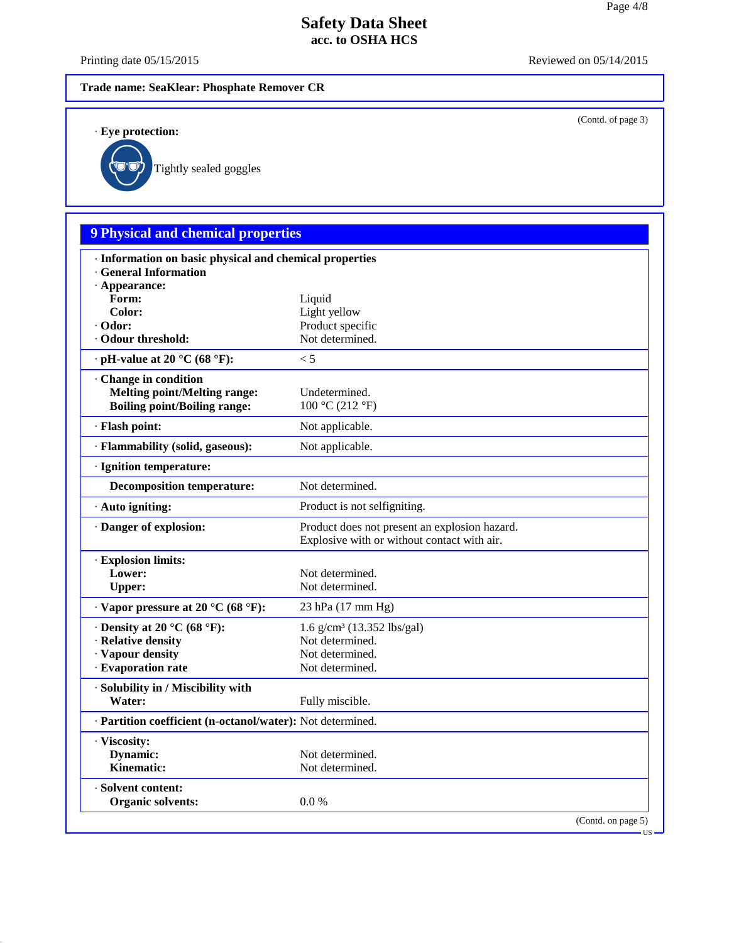Printing date 05/15/2015 Reviewed on 05/14/2015

(Contd. of page 3)

### **Trade name: SeaKlear: Phosphate Remover CR**

· **Eye protection:**

40.2.7

Tightly sealed goggles

# **9 Physical and chemical properties**

| · Appearance:<br>Form:<br>Liquid<br>Color:<br>Light yellow<br>Product specific<br>· Odor:<br>Not determined.<br>· Odour threshold:<br>$\cdot$ pH-value at 20 °C (68 °F):<br>< 5<br>· Change in condition<br><b>Melting point/Melting range:</b><br>Undetermined.<br><b>Boiling point/Boiling range:</b><br>100 °C (212 °F)<br>· Flash point:<br>Not applicable.<br>· Flammability (solid, gaseous):<br>Not applicable.<br>· Ignition temperature:<br><b>Decomposition temperature:</b><br>Not determined.<br>· Auto igniting:<br>Product is not selfigniting.<br>Danger of explosion:<br>Product does not present an explosion hazard.<br>Explosive with or without contact with air.<br>· Explosion limits:<br>Lower:<br>Not determined.<br>Not determined.<br><b>Upper:</b><br>$\cdot$ Vapor pressure at 20 °C (68 °F):<br>23 hPa (17 mm Hg)<br>$\cdot$ Density at 20 °C (68 °F):<br>$1.6$ g/cm <sup>3</sup> (13.352 lbs/gal)<br>· Relative density<br>Not determined.<br>· Vapour density<br>Not determined.<br>· Evaporation rate<br>Not determined.<br>· Solubility in / Miscibility with<br>Water:<br>Fully miscible.<br>· Partition coefficient (n-octanol/water): Not determined.<br>· Viscosity:<br>Dynamic:<br>Not determined.<br>Kinematic:<br>Not determined.<br>· Solvent content:<br>0.0 %<br><b>Organic solvents:</b><br>(Contd. on page 5)<br><b>US</b> | · Information on basic physical and chemical properties<br><b>General Information</b> |  |
|-------------------------------------------------------------------------------------------------------------------------------------------------------------------------------------------------------------------------------------------------------------------------------------------------------------------------------------------------------------------------------------------------------------------------------------------------------------------------------------------------------------------------------------------------------------------------------------------------------------------------------------------------------------------------------------------------------------------------------------------------------------------------------------------------------------------------------------------------------------------------------------------------------------------------------------------------------------------------------------------------------------------------------------------------------------------------------------------------------------------------------------------------------------------------------------------------------------------------------------------------------------------------------------------------------------------------------------------------------------------------|---------------------------------------------------------------------------------------|--|
|                                                                                                                                                                                                                                                                                                                                                                                                                                                                                                                                                                                                                                                                                                                                                                                                                                                                                                                                                                                                                                                                                                                                                                                                                                                                                                                                                                         |                                                                                       |  |
|                                                                                                                                                                                                                                                                                                                                                                                                                                                                                                                                                                                                                                                                                                                                                                                                                                                                                                                                                                                                                                                                                                                                                                                                                                                                                                                                                                         |                                                                                       |  |
|                                                                                                                                                                                                                                                                                                                                                                                                                                                                                                                                                                                                                                                                                                                                                                                                                                                                                                                                                                                                                                                                                                                                                                                                                                                                                                                                                                         |                                                                                       |  |
|                                                                                                                                                                                                                                                                                                                                                                                                                                                                                                                                                                                                                                                                                                                                                                                                                                                                                                                                                                                                                                                                                                                                                                                                                                                                                                                                                                         |                                                                                       |  |
|                                                                                                                                                                                                                                                                                                                                                                                                                                                                                                                                                                                                                                                                                                                                                                                                                                                                                                                                                                                                                                                                                                                                                                                                                                                                                                                                                                         |                                                                                       |  |
|                                                                                                                                                                                                                                                                                                                                                                                                                                                                                                                                                                                                                                                                                                                                                                                                                                                                                                                                                                                                                                                                                                                                                                                                                                                                                                                                                                         |                                                                                       |  |
|                                                                                                                                                                                                                                                                                                                                                                                                                                                                                                                                                                                                                                                                                                                                                                                                                                                                                                                                                                                                                                                                                                                                                                                                                                                                                                                                                                         |                                                                                       |  |
|                                                                                                                                                                                                                                                                                                                                                                                                                                                                                                                                                                                                                                                                                                                                                                                                                                                                                                                                                                                                                                                                                                                                                                                                                                                                                                                                                                         |                                                                                       |  |
|                                                                                                                                                                                                                                                                                                                                                                                                                                                                                                                                                                                                                                                                                                                                                                                                                                                                                                                                                                                                                                                                                                                                                                                                                                                                                                                                                                         |                                                                                       |  |
|                                                                                                                                                                                                                                                                                                                                                                                                                                                                                                                                                                                                                                                                                                                                                                                                                                                                                                                                                                                                                                                                                                                                                                                                                                                                                                                                                                         |                                                                                       |  |
|                                                                                                                                                                                                                                                                                                                                                                                                                                                                                                                                                                                                                                                                                                                                                                                                                                                                                                                                                                                                                                                                                                                                                                                                                                                                                                                                                                         |                                                                                       |  |
|                                                                                                                                                                                                                                                                                                                                                                                                                                                                                                                                                                                                                                                                                                                                                                                                                                                                                                                                                                                                                                                                                                                                                                                                                                                                                                                                                                         |                                                                                       |  |
|                                                                                                                                                                                                                                                                                                                                                                                                                                                                                                                                                                                                                                                                                                                                                                                                                                                                                                                                                                                                                                                                                                                                                                                                                                                                                                                                                                         |                                                                                       |  |
|                                                                                                                                                                                                                                                                                                                                                                                                                                                                                                                                                                                                                                                                                                                                                                                                                                                                                                                                                                                                                                                                                                                                                                                                                                                                                                                                                                         |                                                                                       |  |
|                                                                                                                                                                                                                                                                                                                                                                                                                                                                                                                                                                                                                                                                                                                                                                                                                                                                                                                                                                                                                                                                                                                                                                                                                                                                                                                                                                         |                                                                                       |  |
|                                                                                                                                                                                                                                                                                                                                                                                                                                                                                                                                                                                                                                                                                                                                                                                                                                                                                                                                                                                                                                                                                                                                                                                                                                                                                                                                                                         |                                                                                       |  |
|                                                                                                                                                                                                                                                                                                                                                                                                                                                                                                                                                                                                                                                                                                                                                                                                                                                                                                                                                                                                                                                                                                                                                                                                                                                                                                                                                                         |                                                                                       |  |
|                                                                                                                                                                                                                                                                                                                                                                                                                                                                                                                                                                                                                                                                                                                                                                                                                                                                                                                                                                                                                                                                                                                                                                                                                                                                                                                                                                         |                                                                                       |  |
|                                                                                                                                                                                                                                                                                                                                                                                                                                                                                                                                                                                                                                                                                                                                                                                                                                                                                                                                                                                                                                                                                                                                                                                                                                                                                                                                                                         |                                                                                       |  |
|                                                                                                                                                                                                                                                                                                                                                                                                                                                                                                                                                                                                                                                                                                                                                                                                                                                                                                                                                                                                                                                                                                                                                                                                                                                                                                                                                                         |                                                                                       |  |
|                                                                                                                                                                                                                                                                                                                                                                                                                                                                                                                                                                                                                                                                                                                                                                                                                                                                                                                                                                                                                                                                                                                                                                                                                                                                                                                                                                         |                                                                                       |  |
|                                                                                                                                                                                                                                                                                                                                                                                                                                                                                                                                                                                                                                                                                                                                                                                                                                                                                                                                                                                                                                                                                                                                                                                                                                                                                                                                                                         |                                                                                       |  |
|                                                                                                                                                                                                                                                                                                                                                                                                                                                                                                                                                                                                                                                                                                                                                                                                                                                                                                                                                                                                                                                                                                                                                                                                                                                                                                                                                                         |                                                                                       |  |
|                                                                                                                                                                                                                                                                                                                                                                                                                                                                                                                                                                                                                                                                                                                                                                                                                                                                                                                                                                                                                                                                                                                                                                                                                                                                                                                                                                         |                                                                                       |  |
|                                                                                                                                                                                                                                                                                                                                                                                                                                                                                                                                                                                                                                                                                                                                                                                                                                                                                                                                                                                                                                                                                                                                                                                                                                                                                                                                                                         |                                                                                       |  |
|                                                                                                                                                                                                                                                                                                                                                                                                                                                                                                                                                                                                                                                                                                                                                                                                                                                                                                                                                                                                                                                                                                                                                                                                                                                                                                                                                                         |                                                                                       |  |
|                                                                                                                                                                                                                                                                                                                                                                                                                                                                                                                                                                                                                                                                                                                                                                                                                                                                                                                                                                                                                                                                                                                                                                                                                                                                                                                                                                         |                                                                                       |  |
|                                                                                                                                                                                                                                                                                                                                                                                                                                                                                                                                                                                                                                                                                                                                                                                                                                                                                                                                                                                                                                                                                                                                                                                                                                                                                                                                                                         |                                                                                       |  |
|                                                                                                                                                                                                                                                                                                                                                                                                                                                                                                                                                                                                                                                                                                                                                                                                                                                                                                                                                                                                                                                                                                                                                                                                                                                                                                                                                                         |                                                                                       |  |
|                                                                                                                                                                                                                                                                                                                                                                                                                                                                                                                                                                                                                                                                                                                                                                                                                                                                                                                                                                                                                                                                                                                                                                                                                                                                                                                                                                         |                                                                                       |  |
|                                                                                                                                                                                                                                                                                                                                                                                                                                                                                                                                                                                                                                                                                                                                                                                                                                                                                                                                                                                                                                                                                                                                                                                                                                                                                                                                                                         |                                                                                       |  |
|                                                                                                                                                                                                                                                                                                                                                                                                                                                                                                                                                                                                                                                                                                                                                                                                                                                                                                                                                                                                                                                                                                                                                                                                                                                                                                                                                                         |                                                                                       |  |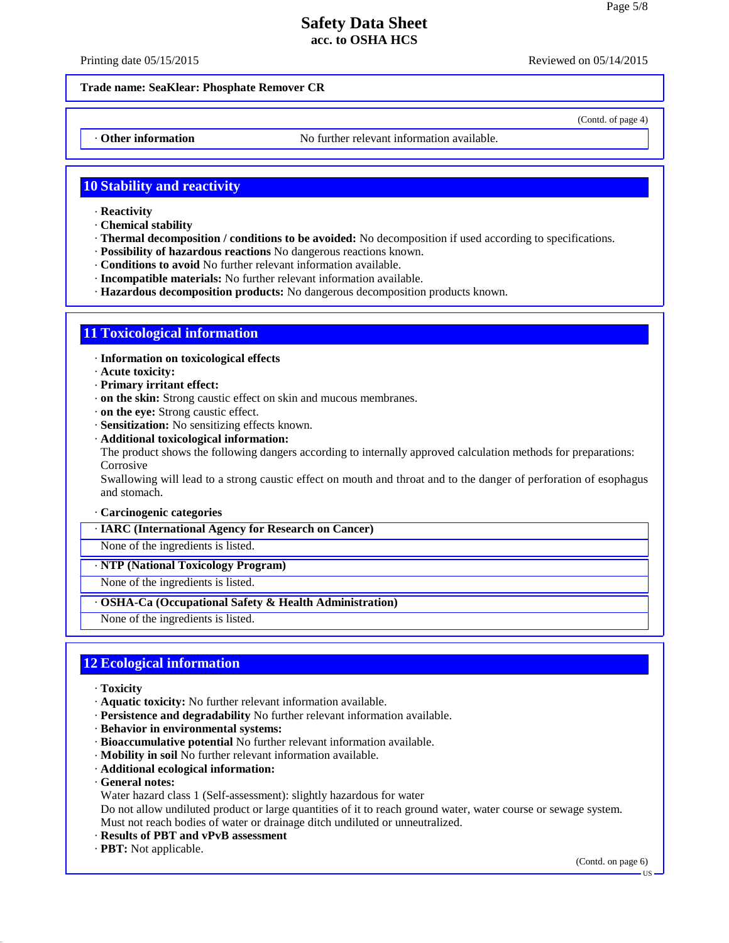Printing date 05/15/2015 **Reviewed on 05/14/2015** Reviewed on 05/14/2015

(Contd. of page 4)

#### **Trade name: SeaKlear: Phosphate Remover CR**

• **Other information** No further relevant information available.

## **10 Stability and reactivity**

- · **Reactivity**
- · **Chemical stability**
- · **Thermal decomposition / conditions to be avoided:** No decomposition if used according to specifications.
- · **Possibility of hazardous reactions** No dangerous reactions known.
- · **Conditions to avoid** No further relevant information available.
- · **Incompatible materials:** No further relevant information available.
- · **Hazardous decomposition products:** No dangerous decomposition products known.

## **11 Toxicological information**

- · **Information on toxicological effects**
- · **Acute toxicity:**
- · **Primary irritant effect:**
- · **on the skin:** Strong caustic effect on skin and mucous membranes.
- · **on the eye:** Strong caustic effect.
- · **Sensitization:** No sensitizing effects known.
- · **Additional toxicological information:**

The product shows the following dangers according to internally approved calculation methods for preparations: Corrosive

Swallowing will lead to a strong caustic effect on mouth and throat and to the danger of perforation of esophagus and stomach.

- · **Carcinogenic categories**
- · **IARC (International Agency for Research on Cancer)**
- None of the ingredients is listed.
- · **NTP (National Toxicology Program)**

None of the ingredients is listed.

#### · **OSHA-Ca (Occupational Safety & Health Administration)**

None of the ingredients is listed.

## **12 Ecological information**

- · **Toxicity**
- · **Aquatic toxicity:** No further relevant information available.
- · **Persistence and degradability** No further relevant information available.
- · **Behavior in environmental systems:**
- · **Bioaccumulative potential** No further relevant information available.
- · **Mobility in soil** No further relevant information available.
- · **Additional ecological information:**
- · **General notes:**

40.2.7

Water hazard class 1 (Self-assessment): slightly hazardous for water

Do not allow undiluted product or large quantities of it to reach ground water, water course or sewage system. Must not reach bodies of water or drainage ditch undiluted or unneutralized.

- · **Results of PBT and vPvB assessment**
- · **PBT:** Not applicable.

(Contd. on page 6)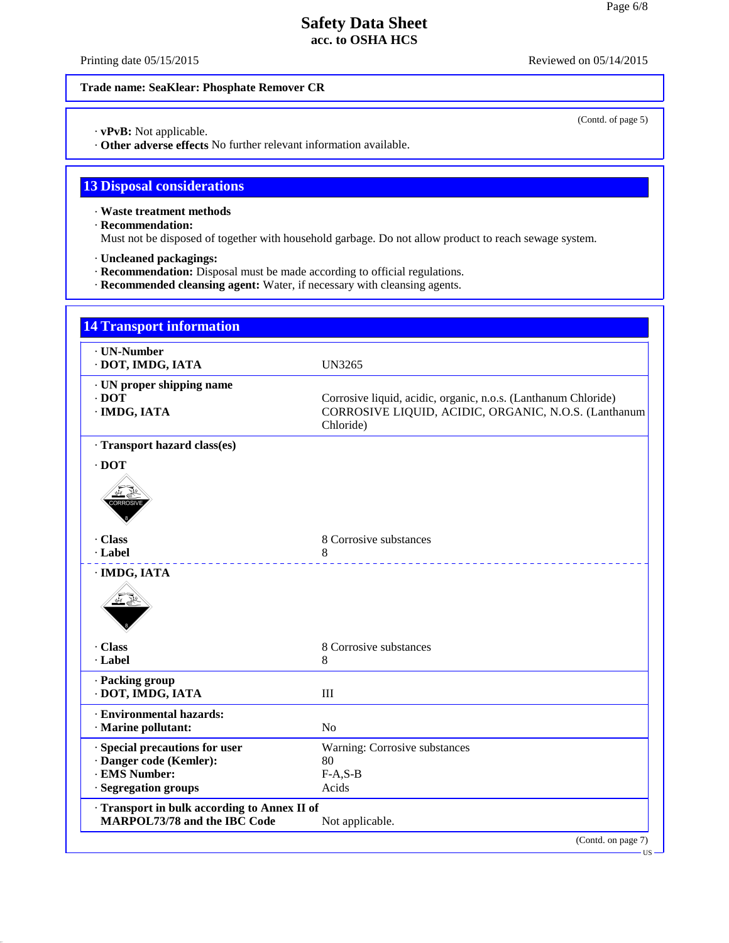Printing date 05/15/2015 Reviewed on 05/14/2015

(Contd. of page 5)

#### **Trade name: SeaKlear: Phosphate Remover CR**

· **vPvB:** Not applicable.

· **Other adverse effects** No further relevant information available.

# **13 Disposal considerations**

· **Waste treatment methods**

· **Recommendation:**

40.2.7

Must not be disposed of together with household garbage. Do not allow product to reach sewage system.

- · **Uncleaned packagings:**
- · **Recommendation:** Disposal must be made according to official regulations.
- · **Recommended cleansing agent:** Water, if necessary with cleansing agents.

| · UN-Number                                |                                                                |
|--------------------------------------------|----------------------------------------------------------------|
| · DOT, IMDG, IATA                          | UN3265                                                         |
| · UN proper shipping name                  |                                                                |
| $\cdot$ DOT                                | Corrosive liquid, acidic, organic, n.o.s. (Lanthanum Chloride) |
| · IMDG, IATA                               | CORROSIVE LIQUID, ACIDIC, ORGANIC, N.O.S. (Lanthanum           |
|                                            | Chloride)                                                      |
| · Transport hazard class(es)               |                                                                |
| $\cdot$ DOT                                |                                                                |
|                                            |                                                                |
|                                            |                                                                |
|                                            |                                                                |
|                                            |                                                                |
| · Class                                    | 8 Corrosive substances                                         |
| · Label                                    | 8                                                              |
| · IMDG, IATA                               |                                                                |
|                                            |                                                                |
|                                            |                                                                |
|                                            |                                                                |
|                                            |                                                                |
| · Class                                    | 8 Corrosive substances                                         |
| · Label                                    | 8                                                              |
| · Packing group                            |                                                                |
| · DOT, IMDG, IATA                          | III                                                            |
| · Environmental hazards:                   |                                                                |
| · Marine pollutant:                        | N <sub>o</sub>                                                 |
| Special precautions for user               | Warning: Corrosive substances                                  |
| · Danger code (Kemler):                    | 80                                                             |
| · EMS Number:                              | $F-A, S-B$                                                     |
| · Segregation groups                       | Acids                                                          |
| Transport in bulk according to Annex II of |                                                                |
| <b>MARPOL73/78 and the IBC Code</b>        | Not applicable.                                                |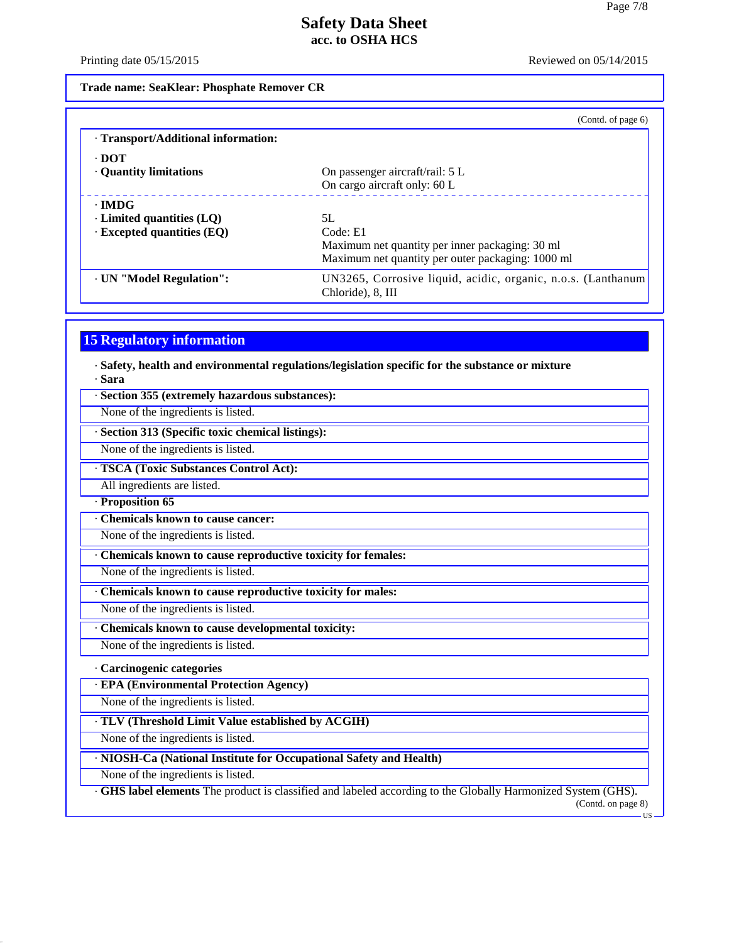Printing date 05/15/2015 Reviewed on 05/14/2015

**Trade name: SeaKlear: Phosphate Remover CR**

|                                     | (Contd. of page $6$ )                                        |
|-------------------------------------|--------------------------------------------------------------|
| · Transport/Additional information: |                                                              |
| $\cdot$ DOT                         |                                                              |
| · Quantity limitations              | On passenger aircraft/rail: 5 L                              |
|                                     | On cargo aircraft only: 60 L                                 |
| $\cdot$ IMDG                        |                                                              |
| $\cdot$ Limited quantities (LQ)     | 5L                                                           |
| $\cdot$ Excepted quantities (EQ)    | Code: E1                                                     |
|                                     | Maximum net quantity per inner packaging: 30 ml              |
|                                     | Maximum net quantity per outer packaging: 1000 ml            |
| · UN "Model Regulation":            | UN3265, Corrosive liquid, acidic, organic, n.o.s. (Lanthanum |
|                                     | Chloride), 8, III                                            |

## **15 Regulatory information**

· **Safety, health and environmental regulations/legislation specific for the substance or mixture** · **Sara**

· **Section 355 (extremely hazardous substances):**

None of the ingredients is listed.

· **Section 313 (Specific toxic chemical listings):**

None of the ingredients is listed.

· **TSCA (Toxic Substances Control Act):**

All ingredients are listed.

· **Proposition 65**

· **Chemicals known to cause cancer:**

None of the ingredients is listed.

· **Chemicals known to cause reproductive toxicity for females:**

None of the ingredients is listed.

· **Chemicals known to cause reproductive toxicity for males:**

None of the ingredients is listed.

· **Chemicals known to cause developmental toxicity:**

None of the ingredients is listed.

#### · **Carcinogenic categories**

· **EPA (Environmental Protection Agency)**

None of the ingredients is listed.

· **TLV (Threshold Limit Value established by ACGIH)**

None of the ingredients is listed.

#### · **NIOSH-Ca (National Institute for Occupational Safety and Health)**

None of the ingredients is listed.

40.2.7

· **GHS label elements** The product is classified and labeled according to the Globally Harmonized System (GHS). (Contd. on page 8)

US